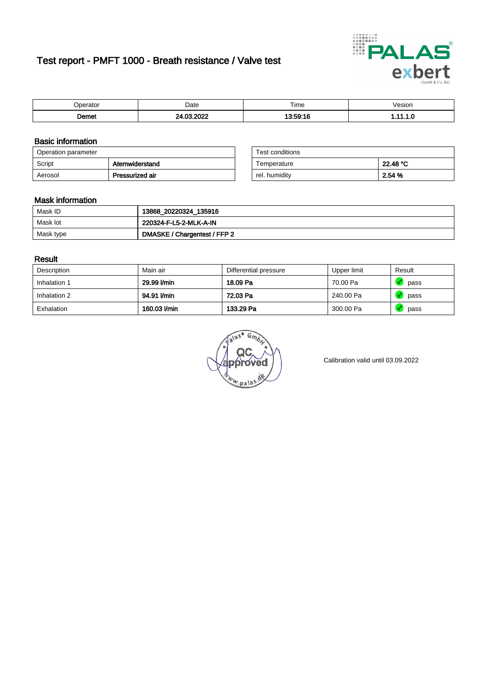# Test report - PMFT 1000 - Breath resistance / Valve test



|      | Date | $- \cdot$<br>Time | /esion<br>. |
|------|------|-------------------|-------------|
| emet | ---  | $-0.40$<br>. .    | .           |

### Basic information

| Operation parameter |                 | Test conditions |          |
|---------------------|-----------------|-----------------|----------|
| Script              | Atemwiderstand  | Temperature     | 22.48 °C |
| Aerosol             | Pressurized air | rel. humidity   | 2.54 %   |

| Test conditions |          |
|-----------------|----------|
| Temperature     | 22.48 °C |
| rel. humidity   | 2.54 %   |

#### Mask information

| Mask ID   | 13868_20220324_135916        |
|-----------|------------------------------|
| Mask lot  | 220324-F-L5-2-MLK-A-IN       |
| Mask type | DMASKE / Chargentest / FFP 2 |

### Result

| Description  | Main air     | Differential pressure | Upper limit | Result |
|--------------|--------------|-----------------------|-------------|--------|
| Inhalation 1 | 29.99 l/min  | 18.09 Pa              | 70.00 Pa    | pass   |
| Inhalation 2 | 94.91 l/min  | 72.03 Pa              | 240.00 Pa   | pass   |
| Exhalation   | 160.03 l/min | 133.29 Pa             | 300.00 Pa   | pass   |

 $u_{\mu,pal}$ 

Calibration valid until 03.09.2022